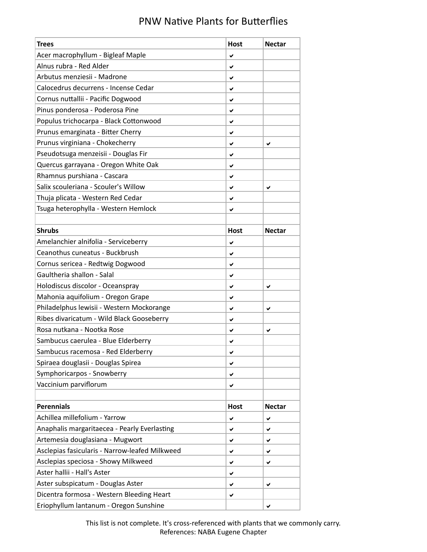## PNW Native Plants for Butterflies

| <b>Trees</b>                                   | <b>Host</b> | <b>Nectar</b> |
|------------------------------------------------|-------------|---------------|
| Acer macrophyllum - Bigleaf Maple              | ✔           |               |
| Alnus rubra - Red Alder                        | ✔           |               |
| Arbutus menziesii - Madrone                    | ✔           |               |
| Calocedrus decurrens - Incense Cedar           | ✔           |               |
| Cornus nuttallii - Pacific Dogwood             | ✔           |               |
| Pinus ponderosa - Poderosa Pine                | ✔           |               |
| Populus trichocarpa - Black Cottonwood         | ✔           |               |
| Prunus emarginata - Bitter Cherry              | ✔           |               |
| Prunus virginiana - Chokecherry                | ✔           | ✔             |
| Pseudotsuga menzeisii - Douglas Fir            | ✔           |               |
| Quercus garrayana - Oregon White Oak           | ✔           |               |
| Rhamnus purshiana - Cascara                    | ✔           |               |
| Salix scouleriana - Scouler's Willow           | ✔           | ✔             |
| Thuja plicata - Western Red Cedar              | ✔           |               |
| Tsuga heterophylla - Western Hemlock           | ✔           |               |
|                                                |             |               |
| <b>Shrubs</b>                                  | <b>Host</b> | <b>Nectar</b> |
| Amelanchier alnifolia - Serviceberry           | ✔           |               |
| Ceanothus cuneatus - Buckbrush                 | ✔           |               |
| Cornus sericea - Redtwig Dogwood               | ✔           |               |
| Gaultheria shallon - Salal                     | ✔           |               |
| Holodiscus discolor - Oceanspray               | ✔           | ✔             |
| Mahonia aquifolium - Oregon Grape              | ✔           |               |
| Philadelphus lewisii - Western Mockorange      | ✔           | ✔             |
| Ribes divaricatum - Wild Black Gooseberry      | ✔           |               |
| Rosa nutkana - Nootka Rose                     | ✔           | ✔             |
| Sambucus caerulea - Blue Elderberry            | ✔           |               |
| Sambucus racemosa - Red Elderberry             | ✔           |               |
| Spiraea douglasii - Douglas Spirea             | ✔           |               |
| Symphoricarpos - Snowberry                     | ✔           |               |
| Vaccinium parviflorum                          | ✔           |               |
|                                                |             |               |
| <b>Perennials</b>                              | <b>Host</b> | <b>Nectar</b> |
| Achillea millefolium - Yarrow                  | ✔           | ✔             |
| Anaphalis margaritaecea - Pearly Everlasting   | ✔           | ✔             |
| Artemesia douglasiana - Mugwort                | ✔           | ✔             |
| Asclepias fasicularis - Narrow-leafed Milkweed | ✔           | ✔             |
| Asclepias speciosa - Showy Milkweed            | ✔           | ✔             |
| Aster hallii - Hall's Aster                    | ✔           |               |
| Aster subspicatum - Douglas Aster              | ✔           | ✔             |
| Dicentra formosa - Western Bleeding Heart      | ✔           |               |
| Eriophyllum lantanum - Oregon Sunshine         |             | ✔             |

This list is not complete. It's cross-referenced with plants that we commonly carry. References: NABA Eugene Chapter